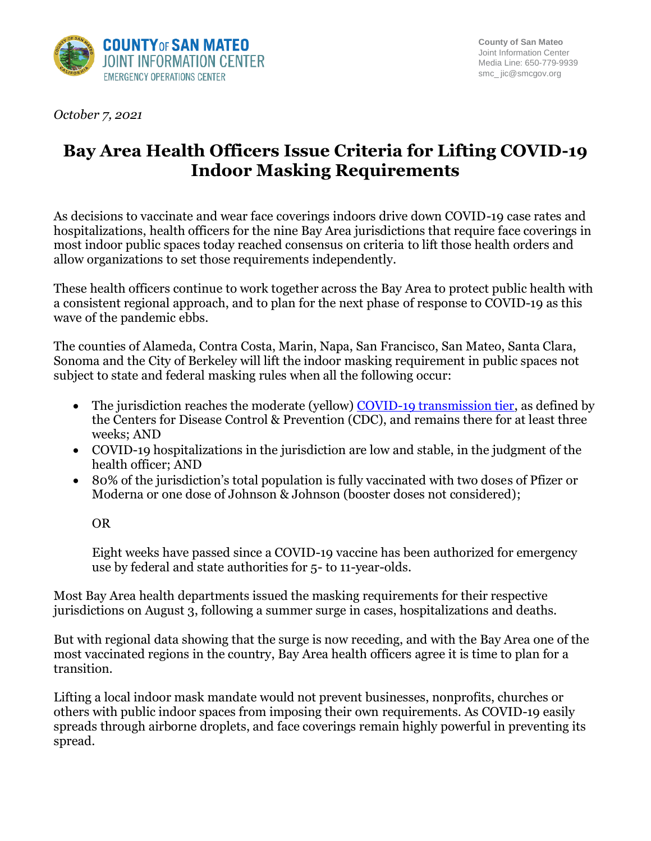

*October 7, 2021*

## **Bay Area Health Officers Issue Criteria for Lifting COVID-19 Indoor Masking Requirements**

As decisions to vaccinate and wear face coverings indoors drive down COVID-19 case rates and hospitalizations, health officers for the nine Bay Area jurisdictions that require face coverings in most indoor public spaces today reached consensus on criteria to lift those health orders and allow organizations to set those requirements independently.

These health officers continue to work together across the Bay Area to protect public health with a consistent regional approach, and to plan for the next phase of response to COVID-19 as this wave of the pandemic ebbs.

The counties of Alameda, Contra Costa, Marin, Napa, San Francisco, San Mateo, Santa Clara, Sonoma and the City of Berkeley will lift the indoor masking requirement in public spaces not subject to state and federal masking rules when all the following occur:

- The jurisdiction reaches the moderate (yellow) [COVID-19 transmission tier,](https://covid.cdc.gov/covid-data-tracker/#county-view) as defined by the Centers for Disease Control & Prevention (CDC), and remains there for at least three weeks; AND
- COVID-19 hospitalizations in the jurisdiction are low and stable, in the judgment of the health officer; AND
- 80% of the jurisdiction's total population is fully vaccinated with two doses of Pfizer or Moderna or one dose of Johnson & Johnson (booster doses not considered);

OR

Eight weeks have passed since a COVID-19 vaccine has been authorized for emergency use by federal and state authorities for 5- to 11-year-olds.

Most Bay Area health departments issued the masking requirements for their respective jurisdictions on August 3, following a summer surge in cases, hospitalizations and deaths.

But with regional data showing that the surge is now receding, and with the Bay Area one of the most vaccinated regions in the country, Bay Area health officers agree it is time to plan for a transition.

Lifting a local indoor mask mandate would not prevent businesses, nonprofits, churches or others with public indoor spaces from imposing their own requirements. As COVID-19 easily spreads through airborne droplets, and face coverings remain highly powerful in preventing its spread.